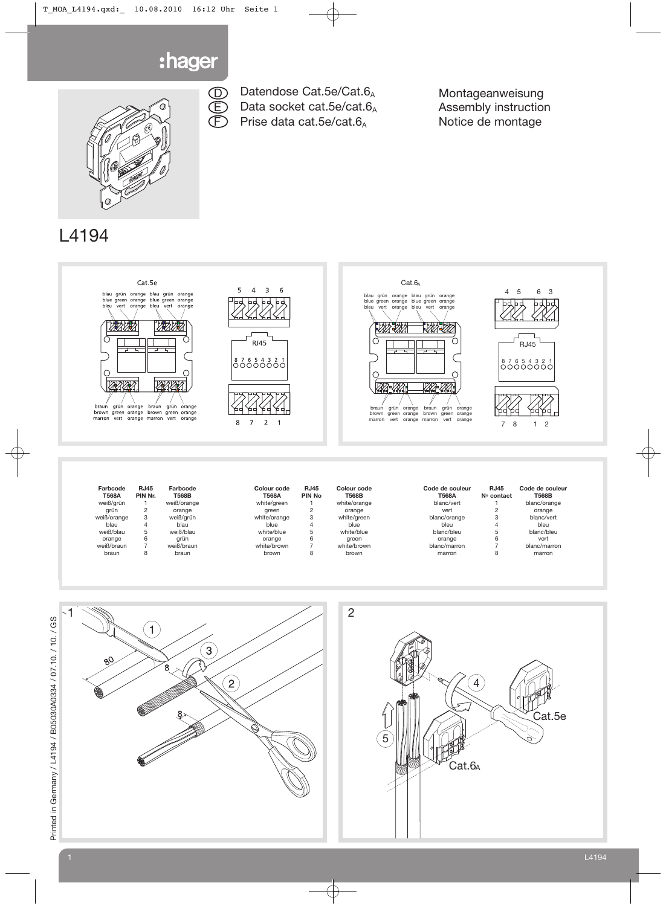

D E F



## Datendose Cat.5e/Cat.6<sub>A</sub> Data socket cat.5e/cat.6A Prise data cat.5e/cat.6<sub>A</sub>

Montageanweisung Assembly instruction Notice de montage

# L4194